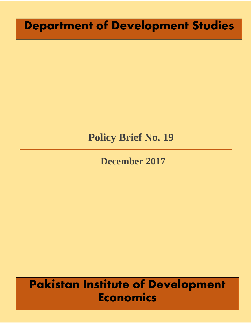# **Department of Development Studies**

# **Policy Brief No. 19**

## **December 2017**

# **Pakistan Institute of Development Economics**